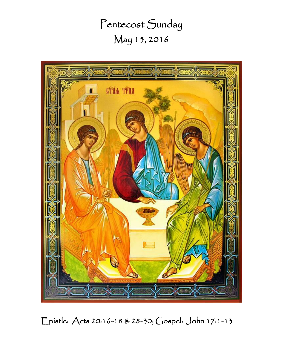Pentecost Sunday May 15, 2016



Epistle: Acts 20:16-18 & 28-30; Gospel: John 17:1-13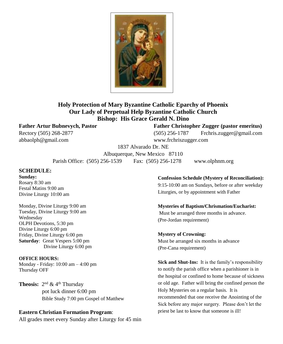

## **Holy Protection of Mary Byzantine Catholic Eparchy of Phoenix Our Lady of Perpetual Help Byzantine Catholic Church Bishop: His Grace Gerald N. Dino**

abbaolph@gmail.com www.frchriszugger.com

**Father Artur Bubnevych, Pastor Father Christopher Zugger (pastor emeritus)** Rectory (505) 268-2877 (505) 256-1787 Frchris.zugger@gmail.com

1837 Alvarado Dr. NE

Albuquerque, New Mexico 87110

Parish Office: (505) 256-1539 Fax: (505) 256-1278 www.olphnm.org

## **SCHEDULE:**

**Sunday:** Rosary 8:30 am Festal Matins 9:00 am Divine Liturgy 10:00 am

Monday, Divine Liturgy 9:00 am Tuesday, Divine Liturgy 9:00 am Wednesday OLPH Devotions, 5:30 pm Divine Liturgy 6:00 pm Friday, Divine Liturgy 6:00 pm **Saturday**: Great Vespers 5:00 pm Divine Liturgy 6:00 pm

**OFFICE HOURS:**

Monday - Friday: 10:00 am – 4:00 pm Thursday OFF

**Theosis:**  $2^{nd}$  & 4<sup>th</sup> Thursday pot luck dinner 6:00 pm Bible Study 7:00 pm Gospel of Matthew

#### **Eastern Christian Formation Program**:

All grades meet every Sunday after Liturgy for 45 min

### **Confession Schedule (Mystery of Reconciliation):** 9:15-10:00 am on Sundays, before or after weekday Liturgies, or by appointment with Father

**Mysteries of Baptism/Chrismation/Eucharist:** Must be arranged three months in advance.

(Pre-Jordan requirement)

#### **Mystery of Crowning:**

Must be arranged six months in advance (Pre-Cana requirement)

**Sick and Shut-Ins:** It is the family's responsibility to notify the parish office when a parishioner is in the hospital or confined to home because of sickness or old age. Father will bring the confined person the Holy Mysteries on a regular basis. It is recommended that one receive the Anointing of the Sick before any major surgery. Please don't let the priest be last to know that someone is ill!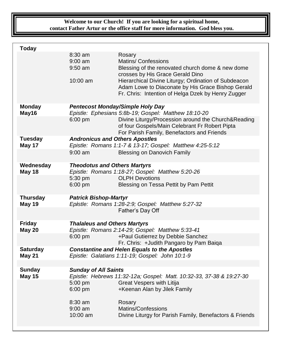**Welcome to our Church! If you are looking for a spiritual home, contact Father Artur or the office staff for more information. God bless you.**

| <b>Today</b>                     |                                                                                                        |                                                                                                                                                                                                                                                                                                 |  |
|----------------------------------|--------------------------------------------------------------------------------------------------------|-------------------------------------------------------------------------------------------------------------------------------------------------------------------------------------------------------------------------------------------------------------------------------------------------|--|
|                                  | $8:30$ am<br>$9:00$ am<br>$9:50$ am<br>$10:00$ am                                                      | Rosary<br><b>Matins/ Confessions</b><br>Blessing of the renovated church dome & new dome<br>crosses by His Grace Gerald Dino<br>Hierarchical Divine Liturgy; Ordination of Subdeacon<br>Adam Lowe to Diaconate by His Grace Bishop Gerald<br>Fr. Chris: Intention of Helga Dzek by Henry Zugger |  |
| <b>Monday</b><br>May16           | <b>Pentecost Monday/Simple Holy Day</b><br>Epistle: Ephesians 5:8b-19; Gospel: Matthew 18:10-20        |                                                                                                                                                                                                                                                                                                 |  |
|                                  | $6:00$ pm                                                                                              | Divine Liturgy/Procession around the Church&Reading<br>of four Gospels/Main Celebrant Fr Robert Pipta<br>For Parish Family, Benefactors and Friends                                                                                                                                             |  |
| <b>Tuesday</b><br>May 17         | <b>Andronicus and Others Apostles</b><br>Epistle: Romans 1:1-7 & 13-17; Gospel: Matthew 4:25-5:12      |                                                                                                                                                                                                                                                                                                 |  |
|                                  | $9:00 \text{ am}$                                                                                      | <b>Blessing on Danovich Family</b>                                                                                                                                                                                                                                                              |  |
| Wednesday<br><b>May 18</b>       | <b>Theodotus and Others Martyrs</b><br>Epistle: Romans 1:18-27; Gospel: Matthew 5:20-26                |                                                                                                                                                                                                                                                                                                 |  |
|                                  | 5:30 pm<br>6:00 pm                                                                                     | <b>OLPH Devotions</b><br>Blessing on Tessa Pettit by Pam Pettit                                                                                                                                                                                                                                 |  |
| <b>Thursday</b><br><b>May 19</b> | <b>Patrick Bishop-Martyr</b><br>Epistle: Romans 1:28-2:9; Gospel: Matthew 5:27-32                      |                                                                                                                                                                                                                                                                                                 |  |
|                                  |                                                                                                        | Father's Day Off                                                                                                                                                                                                                                                                                |  |
| <b>Friday</b><br>May 20          | <b>Thalaleus and Others Martyrs</b><br>Epistle: Romans 2:14-29; Gospel: Matthew 5:33-41                |                                                                                                                                                                                                                                                                                                 |  |
|                                  | $6:00$ pm                                                                                              | +Paul Gutierrez by Debbie Sanchez<br>Fr. Chris: +Judith Pangaro by Pam Baiqa                                                                                                                                                                                                                    |  |
| <b>Saturday</b><br><b>May 21</b> | <b>Constantine and Helen Equals to the Apostles</b><br>Epistle: Galatians 1:11-19; Gospel: John 10:1-9 |                                                                                                                                                                                                                                                                                                 |  |
|                                  |                                                                                                        |                                                                                                                                                                                                                                                                                                 |  |
| <b>Sunday</b><br><b>May 15</b>   | <b>Sunday of All Saints</b><br>5:00 pm<br>6:00 pm<br>$8:30$ am<br>$9:00$ am<br>$10:00$ am              | Epistle: Hebrews 11:32-12a; Gospel: Matt. 10:32-33, 37-38 & 19:27-30<br>Great Vespers with Litija<br>+Keenan Alan by Jilek Family<br>Rosary<br>Matins/Confessions<br>Divine Liturgy for Parish Family, Benefactors & Friends                                                                    |  |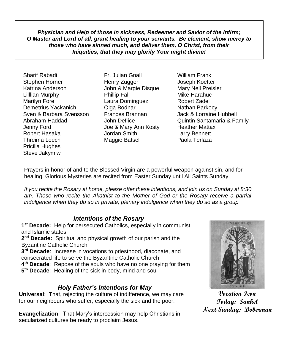*Physician and Help of those in sickness, Redeemer and Savior of the infirm; O Master and Lord of all, grant healing to your servants. Be clement, show mercy to those who have sinned much, and deliver them, O Christ, from their Iniquities, that they may glorify Your might divine!*

Sharif Rabadi Fr. Julian Gnall William Frank Stephen Horner Henry Zugger Joseph Koetter Katrina Anderson John & Margie Disque Lilllian Murphy Phillip Fall Mike Harahuc Marilyn Fore **Communist Claura Dominguez** Robert Zadel Demetrius Yackanich **Olga Bodnar** Nathan Barkocy Sven & Barbara Svensson Frances Brannan Jack & Lorraine Hubbell Jenny Ford Joe & Mary Ann Kosty Heather Mattax Robert Hasaka Jordan Smith Larry Bennett Threima Leech Maggie Batsel Paola Terlaza Pricilla Hughes Steve Jakymiw

Abraham Haddad John Deflice Quintin Santamaria & Family

Prayers in honor of and to the Blessed Virgin are a powerful weapon against sin, and for healing. Glorious Mysteries are recited from Easter Sunday until All Saints Sunday.

*If you recite the Rosary at home, please offer these intentions, and join us on Sunday at 8:30 am. Those who recite the Akathist to the Mother of God or the Rosary receive a partial indulgence when they do so in private, plenary indulgence when they do so as a group*

## *Intentions of the Rosary*

 **st Decade:** Help for persecuted Catholics, especially in communist and Islamic states **nd Decade:** Spiritual and physical growth of our parish and the Byzantine Catholic Church **rd Decade**: Increase in vocations to priesthood, diaconate, and consecrated life to serve the Byzantine Catholic Church **th Decade**: Repose of the souls who have no one praying for them **th Decade**: Healing of the sick in body, mind and soul

## *Holy Father's Intentions for May*

**Universal**: That, rejecting the culture of indifference, we may care for our neighbours who suffer, especially the sick and the poor.

**Evangelization**: That Mary's intercession may help Christians in secularized cultures be ready to proclaim Jesus.



**Vocation Icon Today: Sankel Next Sunday: Doberman**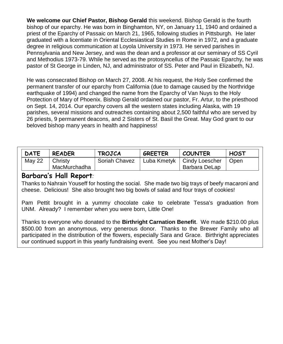**We welcome our Chief Pastor, Bishop Gerald** this weekend. Bishop Gerald is the fourth bishop of our eparchy. He was born in Binghamton, NY, on January 11, 1940 and ordained a priest of the Eparchy of Passaic on March 21, 1965, following studies in Pittsburgh. He later graduated with a licentiate in Oriental Ecclesiastical Studies in Rome in 1972, and a graduate degree in religious communication at Loyola University in 1973. He served parishes in Pennsylvania and New Jersey, and was the dean and a professor at our seminary of SS Cyril and Methodius 1973-79. While he served as the protosyncellus of the Passaic Eparchy, he was pastor of St George in Linden, NJ, and administrator of SS. Peter and Paul in Elizabeth, NJ.

He was consecrated Bishop on March 27, 2008. At his request, the Holy See confirmed the permanent transfer of our eparchy from California (due to damage caused by the Northridge earthquake of 1994) and changed the name from the Eparchy of Van Nuys to the Holy Protection of Mary of Phoenix. Bishop Gerald ordained our pastor, Fr. Artur, to the priesthood on Sept. 14, 2014. Our eparchy covers all the western states including Alaska, with 19 parishes, several missions and outreaches containing about 2,500 faithful who are served by 26 priests, 9 permanent deacons, and 2 Sisters of St. Basil the Great. May God grant to our beloved bishop many years in health and happiness!

| <b>DATE</b> | <b>READER</b>           | <b>TROJCA</b> | <b>GREETER</b> | <b>COUNTER</b>                                | <b>HOST</b> |
|-------------|-------------------------|---------------|----------------|-----------------------------------------------|-------------|
| May 22      | Christy<br>MacMurchadha | Soriah Chavez |                | Luba Kmetyk   Cindy Loescher<br>Barbara DeLap | Open        |

## **Barbara's Hall Report***:*

Thanks to Nahrain Youseff for hosting the social. She made two big trays of beefy macaroni and cheese. Delicious! She also brought two big bowls of salad and four trays of cookies!

Pam Pettit brought in a yummy chocolate cake to celebrate Tessa's graduation from UNM. Already? I remember when you were born, Little One!

Thanks to everyone who donated to the **Birthright Carnation Benefit**. We made \$210.00 plus \$500.00 from an anonymous, very generous donor. Thanks to the Brewer Family who all participated in the distribution of the flowers, especially Sara and Grace. Birthright appreciates our continued support in this yearly fundraising event. See you next Mother's Day!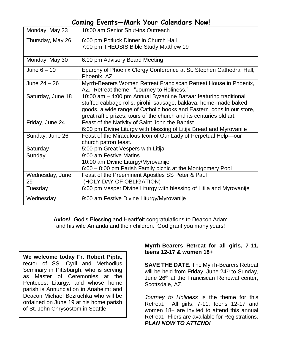# **Coming Events—Mark Your Calendars Now!**

| Monday, May 23              | 10:00 am Senior Shut-ins Outreach                                                                                                                                                                                                                                                    |
|-----------------------------|--------------------------------------------------------------------------------------------------------------------------------------------------------------------------------------------------------------------------------------------------------------------------------------|
| Thursday, May 26            | 6:00 pm Potluck Dinner in Church Hall                                                                                                                                                                                                                                                |
|                             | 7:00 pm THEOSIS Bible Study Matthew 19                                                                                                                                                                                                                                               |
| Monday, May 30              | 6:00 pm Advisory Board Meeting                                                                                                                                                                                                                                                       |
| June $6 - 10$               | Eparchy of Phoenix Clergy Conference at St. Stephen Cathedral Hall,<br>Phoenix, AZ                                                                                                                                                                                                   |
| June 24 - 26                | Myrrh-Bearers Women Retreat Franciscan Retreat House in Phoenix,<br>AZ. Retreat theme: "Journey to Holiness."                                                                                                                                                                        |
| Saturday, June 18           | 10:00 am - 4:00 pm Annual Byzantine Bazaar featuring traditional<br>stuffed cabbage rolls, pirohi, sausage, baklava, home-made baked<br>goods, a wide range of Catholic books and Eastern icons in our store,<br>great raffle prizes, tours of the church and its centuries old art. |
| Friday, June 24             | Feast of the Nativity of Saint John the Baptist<br>6:00 pm Divine Liturgy with blessing of Litija Bread and Myrovanije                                                                                                                                                               |
| Sunday, June 26<br>Saturday | Feast of the Miraculous Icon of Our Lady of Perpetual Help-our<br>church patron feast.<br>5:00 pm Great Vespers with Litija                                                                                                                                                          |
| Sunday                      | 9:00 am Festive Matins                                                                                                                                                                                                                                                               |
|                             | 10:00 am Divine Liturgy/Myrovanije                                                                                                                                                                                                                                                   |
|                             | 6:00 - 8:00 pm Parish Family picnic at the Montgomery Pool                                                                                                                                                                                                                           |
| Wednesday, June<br>29       | Feast of the Preeminent Apostles SS Peter & Paul<br>(HOLY DAY OF OBLIGATION)                                                                                                                                                                                                         |
| Tuesday                     | 6:00 pm Vesper Divine Liturgy with blessing of Litija and Myrovanije                                                                                                                                                                                                                 |
| Wednesday                   | 9:00 am Festive Divine Liturgy/Myrovanije                                                                                                                                                                                                                                            |

**Axios!** God's Blessing and Heartfelt congratulations to Deacon Adam and his wife Amanda and their children. God grant you many years!

**We welcome today Fr. Robert Pipta**, rector of SS. Cyril and Methodius Seminary in Pittsburgh, who is serving as Master of Ceremonies at the Pentecost Liturgy, and whose home parish is Annunciation in Anaheim; and Deacon Michael Bezruchka who will be ordained on June 19 at his home parish of St. John Chrysostom in Seattle.

## **Myrrh-Bearers Retreat for all girls, 7-11, teens 12-17 & women 18+**

**SAVE THE DATE***:* The Myrrh-Bearers Retreat will be held from Friday, June 24<sup>th</sup> to Sunday, June 26<sup>th</sup> at the Franciscan Renewal center, Scottsdale, AZ.

*Journey to Holiness* is the theme for this Retreat. All girls, 7-11, teens 12-17 and women 18+ are invited to attend this annual Retreat. Fliers are available for Registrations. *PLAN NOW TO ATTEND!*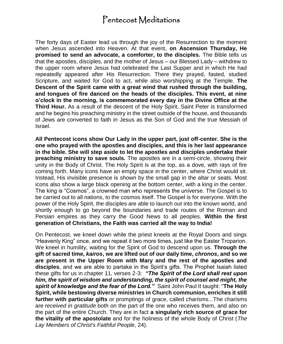# Pentecost Meditations

The forty days of Easter lead us through the joy of the Resurrection to the moment when Jesus ascended into Heaven. At that event, **on Ascension Thursday, He promised to send an advocate, a comforter, to the disciples.** The Bible tells us that the apostles, disciples, and the mother of Jesus – our Blessed Lady – withdrew to the upper room where Jesus had celebrated the Last Supper and in which He had repeatedly appeared after His Resurrection. There they prayed, fasted, studied Scripture, and waited for God to act, while also worshipping at the Temple. **The Descent of the Spirit came with a great wind that rushed through the building, and tongues of fire danced on the heads of the disciples. This event, at nine o'clock in the morning, is commemorated every day in the Divine Office at the Third Hour.** As a result of the descent of the Holy Spirit, Saint Peter is transformed and he begins his preaching ministry in the street outside of the house, and thousands of Jews are converted to faith in Jesus as the Son of God and the true Messiah of Israel.

**All Pentecost icons show Our Lady in the upper part, just off-center. She is the one who prayed with the apostles and disciples, and this is her last appearance in the bible. She will step aside to let the apostles and disciples undertake their preaching ministry to save souls.** The apostles are in a semi-circle, showing their unity in the Body of Christ. The Holy Spirit is at the top, as a dove, with rays of fire coming forth. Many icons have an empty space in the center, where Christ would sit. Instead, His invisible presence is shown by the small gap in the altar or seats. Most icons also show a large black opening at the bottom center, with a king in the center. The king is "Cosmos", a crowned man who represents the universe. The Gospel is to be carried out to all nations, to the cosmos itself. The Gospel is for everyone. With the power of the Holy Spirit, the disciples are able to launch out into the known world, and shortly enough to go beyond the boundaries and trade routes of the Roman and Persian empires as they carry the Good News to all peoples. **Within the first generation of Christians, the Faith was carried all the way to India!**

On Pentecost, we kneel down while the priest kneels at the Royal Doors and sings "Heavenly King" once, and we repeat it two more times, just like the Easter Troparion. We kneel in humility, waiting for the Spirit of God to descend upon us. **Through the gift of sacred time,** *kairos***, we are lifted out of our daily time,** *chronos***, and so we are present in the Upper Room with Mary and the rest of the apostles and disciples**, and we are able to partake in the Spirit's gifts. The Prophet Isaiah listed these gifts for us in chapter 11, verses 2-3: *"The Spirit of the Lord shall rest upon him, the spirit of wisdom and understanding, the spirit of counsel and might, the spirit of knowledge and the fear of the Lord."* Saint John Paul II taught: "**The Holy Spirit, while bestowing diverse ministries in Church communion, enriches it still further with particular gifts** or promptings of grace, called *charisms...*The charisms are *received in gratitude* both on the part of the one who receives them, and also on the part of the entire Church. They are in fact **a singularly rich source of grace for the vitality of the apostolate** and for the holiness of the whole Body of Christ (*The Lay Members of Christ's Faithful People*, 24).